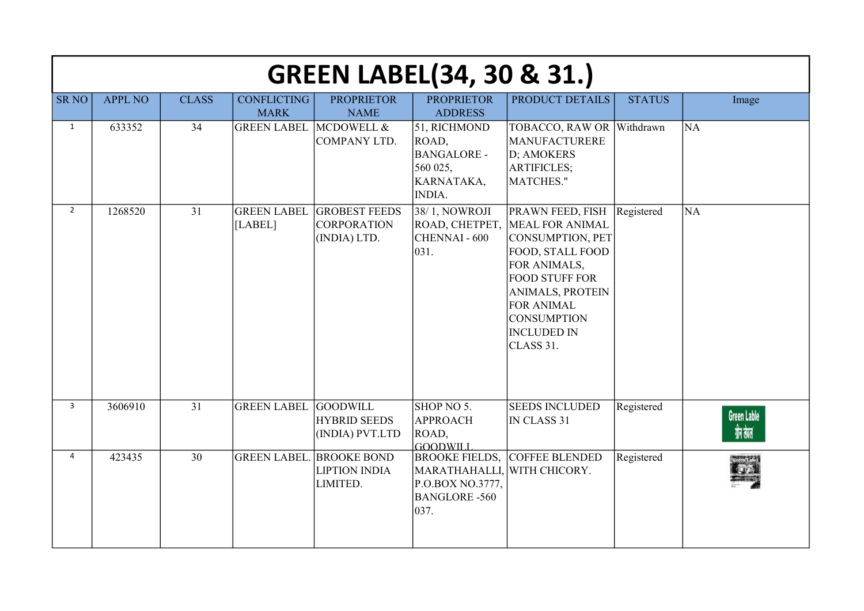|                |                |              |                                   | <b>GREEN LABEL(34, 30 &amp; 31.)</b>                                |                                                                                                         |                                                                                                                                                                                                                                                     |               |                                        |
|----------------|----------------|--------------|-----------------------------------|---------------------------------------------------------------------|---------------------------------------------------------------------------------------------------------|-----------------------------------------------------------------------------------------------------------------------------------------------------------------------------------------------------------------------------------------------------|---------------|----------------------------------------|
| <b>SR NO</b>   | <b>APPL NO</b> | <b>CLASS</b> | <b>CONFLICTING</b><br><b>MARK</b> | <b>PROPRIETOR</b><br><b>NAME</b>                                    | <b>PROPRIETOR</b><br><b>ADDRESS</b>                                                                     | PRODUCT DETAILS                                                                                                                                                                                                                                     | <b>STATUS</b> | Image                                  |
| $\mathbf{1}$   | 633352         | 34           | <b>GREEN LABEL MCDOWELL &amp;</b> | COMPANY LTD.                                                        | 51, RICHMOND<br>ROAD,<br><b>BANGALORE -</b><br>560 025,<br>KARNATAKA,<br><b>INDIA.</b>                  | TOBACCO, RAW OR<br>MANUFACTURERE<br>D; AMOKERS<br><b>ARTIFICLES;</b><br>MATCHES."                                                                                                                                                                   | Withdrawn     | <b>NA</b>                              |
| $\overline{2}$ | 1268520        | 31           | <b>GREEN LABEL</b><br>[LABEL]     | <b>GROBEST FEEDS</b><br><b>CORPORATION</b><br>(INDIA) LTD.          | 38/1, NOWROJI<br>CHENNAI-600<br>031.                                                                    | <b>PRAWN FEED, FISH</b><br>ROAD, CHETPET, MEAL FOR ANIMAL<br>CONSUMPTION, PET<br>FOOD, STALL FOOD<br>FOR ANIMALS,<br><b>FOOD STUFF FOR</b><br><b>ANIMALS, PROTEIN</b><br><b>FOR ANIMAL</b><br><b>CONSUMPTION</b><br><b>INCLUDED IN</b><br>CLASS 31. | Registered    | <b>NA</b>                              |
| $\overline{3}$ | 3606910        | 31           | <b>GREEN LABEL</b>                | <b>GOODWILL</b><br><b>HYBRID SEEDS</b><br>(INDIA) PVT.LTD           | SHOP NO 5.<br><b>APPROACH</b><br>ROAD,<br><b>GOODWILL</b>                                               | <b>SEEDS INCLUDED</b><br>IN CLASS 31                                                                                                                                                                                                                | Registered    | Green Lable <sup>®</sup><br>ग्रीन तेवल |
| $\overline{4}$ | 423435         | 30           |                                   | <b>GREEN LABEL. BROOKE BOND</b><br><b>LIPTION INDIA</b><br>LIMITED. | <b>BROOKE FIELDS,</b><br>MARATHAHALLI, WITH CHICORY.<br>P.O.BOX NO.3777,<br><b>BANGLORE-560</b><br>037. | COFFEE BLENDED                                                                                                                                                                                                                                      | Registered    |                                        |